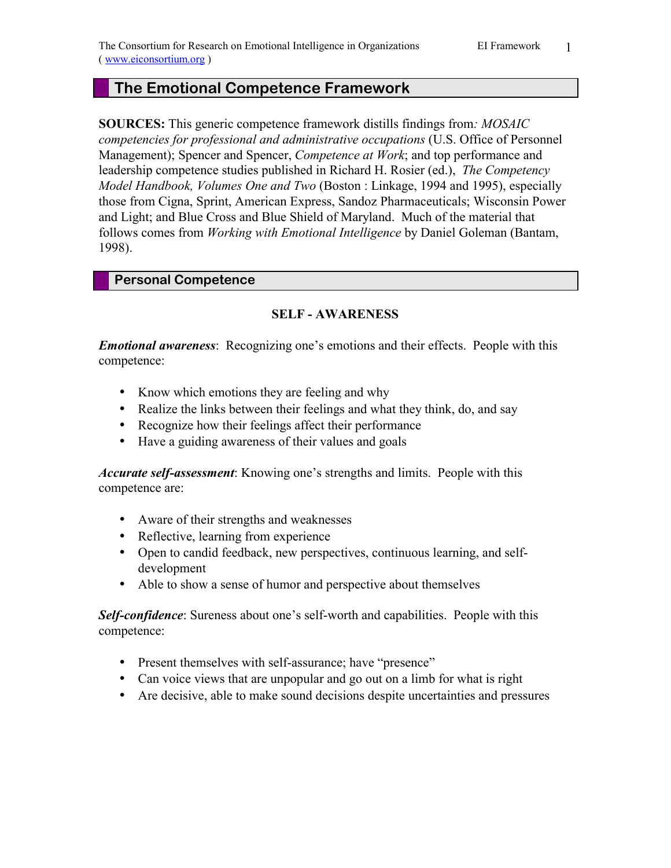# **The Emotional Competence Framework**

**SOURCES:** This generic competence framework distills findings from*: MOSAIC competencies for professional and administrative occupations* (U.S. Office of Personnel Management); Spencer and Spencer, *Competence at Work*; and top performance and leadership competence studies published in Richard H. Rosier (ed.), *The Competency Model Handbook, Volumes One and Two* (Boston : Linkage, 1994 and 1995), especially those from Cigna, Sprint, American Express, Sandoz Pharmaceuticals; Wisconsin Power and Light; and Blue Cross and Blue Shield of Maryland. Much of the material that follows comes from *Working with Emotional Intelligence* by Daniel Goleman (Bantam, 1998).

### **Personal Competence**

## **SELF - AWARENESS**

*Emotional awareness*: Recognizing one's emotions and their effects. People with this competence:

- Know which emotions they are feeling and why
- Realize the links between their feelings and what they think, do, and say
- Recognize how their feelings affect their performance
- Have a guiding awareness of their values and goals

*Accurate self-assessment*: Knowing one's strengths and limits. People with this competence are:

- Aware of their strengths and weaknesses
- Reflective, learning from experience
- Open to candid feedback, new perspectives, continuous learning, and selfdevelopment
- Able to show a sense of humor and perspective about themselves

**Self-confidence**: Sureness about one's self-worth and capabilities. People with this competence:

- Present themselves with self-assurance; have "presence"
- Can voice views that are unpopular and go out on a limb for what is right
- Are decisive, able to make sound decisions despite uncertainties and pressures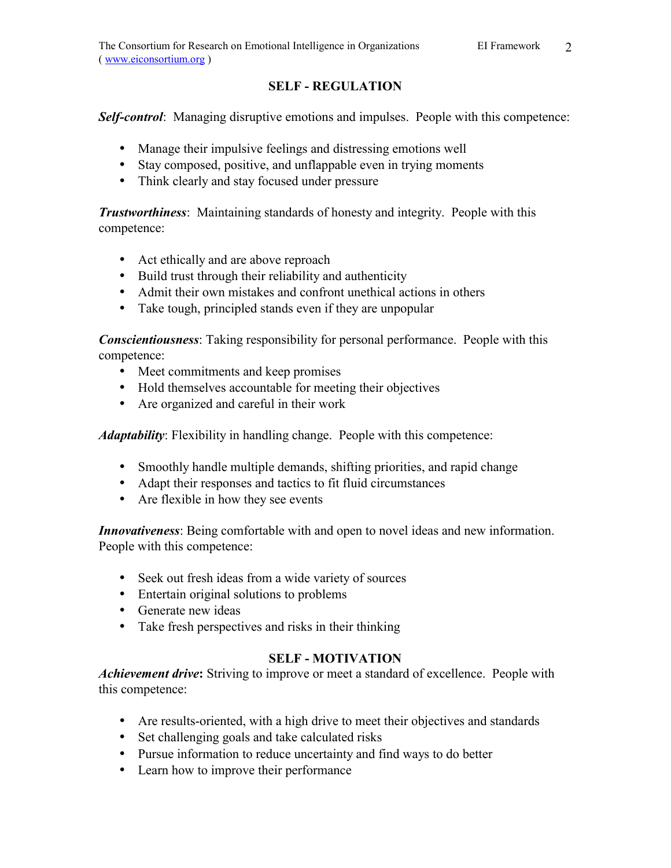### **SELF - REGULATION**

**Self-control**: Managing disruptive emotions and impulses. People with this competence:

- Manage their impulsive feelings and distressing emotions well
- Stay composed, positive, and unflappable even in trying moments
- Think clearly and stay focused under pressure

*Trustworthiness*: Maintaining standards of honesty and integrity. People with this competence:

- Act ethically and are above reproach
- Build trust through their reliability and authenticity
- Admit their own mistakes and confront unethical actions in others
- Take tough, principled stands even if they are unpopular

*Conscientiousness*: Taking responsibility for personal performance. People with this competence:

- Meet commitments and keep promises
- Hold themselves accountable for meeting their objectives
- Are organized and careful in their work

*Adaptability*: Flexibility in handling change. People with this competence:

- Smoothly handle multiple demands, shifting priorities, and rapid change
- Adapt their responses and tactics to fit fluid circumstances
- Are flexible in how they see events

*Innovativeness*: Being comfortable with and open to novel ideas and new information. People with this competence:

- Seek out fresh ideas from a wide variety of sources
- Entertain original solutions to problems
- Generate new ideas
- Take fresh perspectives and risks in their thinking

# **SELF - MOTIVATION**

*Achievement drive***:** Striving to improve or meet a standard of excellence. People with this competence:

- Are results-oriented, with a high drive to meet their objectives and standards
- Set challenging goals and take calculated risks
- Pursue information to reduce uncertainty and find ways to do better
- Learn how to improve their performance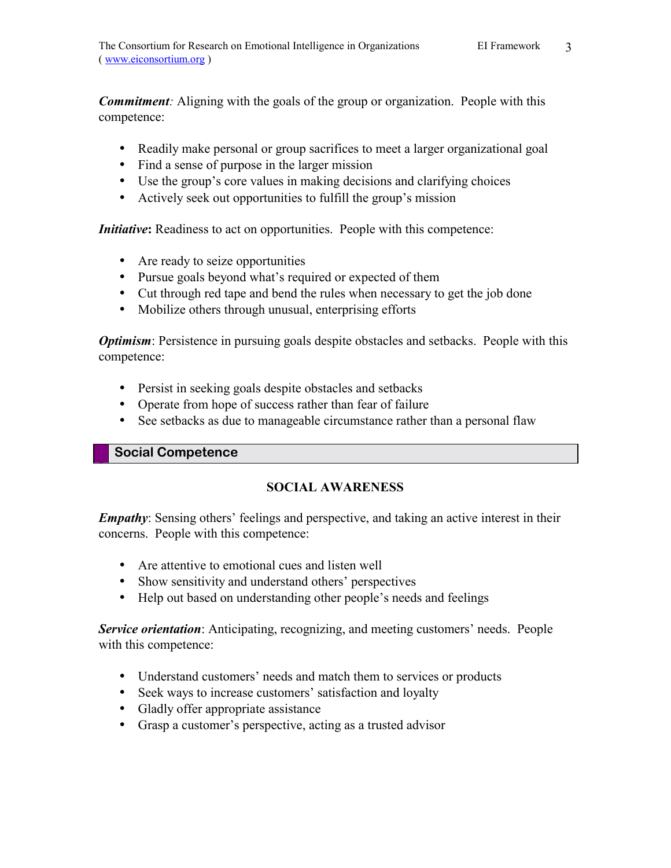*Commitment:* Aligning with the goals of the group or organization. People with this competence:

- Readily make personal or group sacrifices to meet a larger organizational goal
- Find a sense of purpose in the larger mission
- $\bullet$  Use the group's core values in making decisions and clarifying choices
- Actively seek out opportunities to fulfill the group's mission

*Initiative*: Readiness to act on opportunities. People with this competence:

- Are ready to seize opportunities
- Pursue goals beyond what's required or expected of them
- Cut through red tape and bend the rules when necessary to get the job done
- Mobilize others through unusual, enterprising efforts

*Optimism*: Persistence in pursuing goals despite obstacles and setbacks. People with this competence:

- Persist in seeking goals despite obstacles and setbacks
- Operate from hope of success rather than fear of failure
- See setbacks as due to manageable circumstance rather than a personal flaw

### **Social Competence**

# **SOCIAL AWARENESS**

*Empathy*: Sensing others' feelings and perspective, and taking an active interest in their concerns. People with this competence:

- Are attentive to emotional cues and listen well
- Show sensitivity and understand others' perspectives
- Help out based on understanding other people's needs and feelings

**Service orientation**: Anticipating, recognizing, and meeting customers' needs. People with this competence:

- Understand customers' needs and match them to services or products
- Seek ways to increase customers' satisfaction and loyalty
- Gladly offer appropriate assistance
- Grasp a customer's perspective, acting as a trusted advisor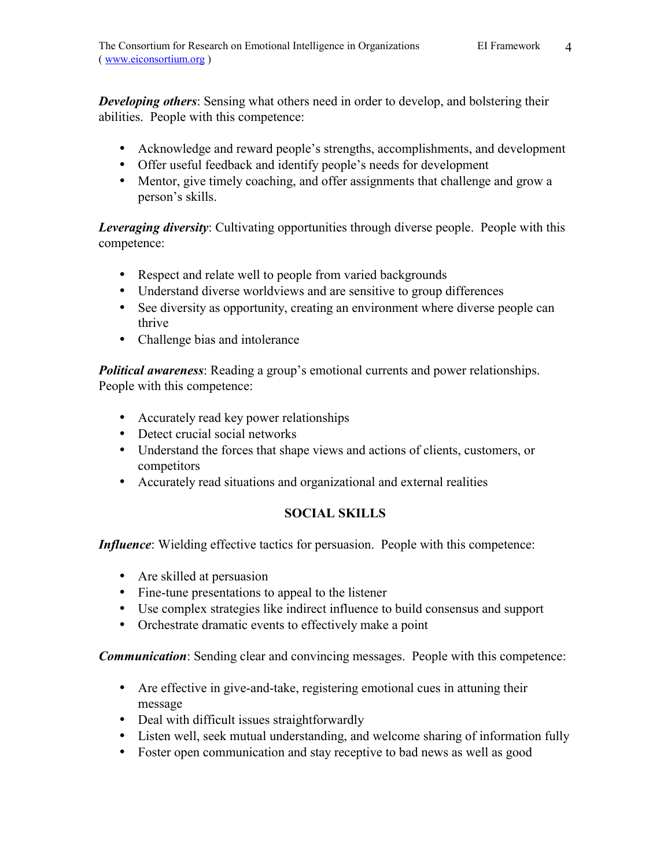*Developing others*: Sensing what others need in order to develop, and bolstering their abilities. People with this competence:

- Acknowledge and reward people's strengths, accomplishments, and development
- Offer useful feedback and identify people's needs for development
- Mentor, give timely coaching, and offer assignments that challenge and grow a person's skills.

*Leveraging diversity*: Cultivating opportunities through diverse people. People with this competence:

- Respect and relate well to people from varied backgrounds
- Understand diverse worldviews and are sensitive to group differences
- See diversity as opportunity, creating an environment where diverse people can thrive
- Challenge bias and intolerance

**Political awareness**: Reading a group's emotional currents and power relationships. People with this competence:

- Accurately read key power relationships
- Detect crucial social networks
- Understand the forces that shape views and actions of clients, customers, or competitors
- Accurately read situations and organizational and external realities

### **SOCIAL SKILLS**

*Influence*: Wielding effective tactics for persuasion. People with this competence:

- Are skilled at persuasion
- Fine-tune presentations to appeal to the listener
- Use complex strategies like indirect influence to build consensus and support
- Orchestrate dramatic events to effectively make a point

*Communication*: Sending clear and convincing messages. People with this competence:

- Are effective in give-and-take, registering emotional cues in attuning their message
- Deal with difficult issues straightforwardly
- Listen well, seek mutual understanding, and welcome sharing of information fully
- Foster open communication and stay receptive to bad news as well as good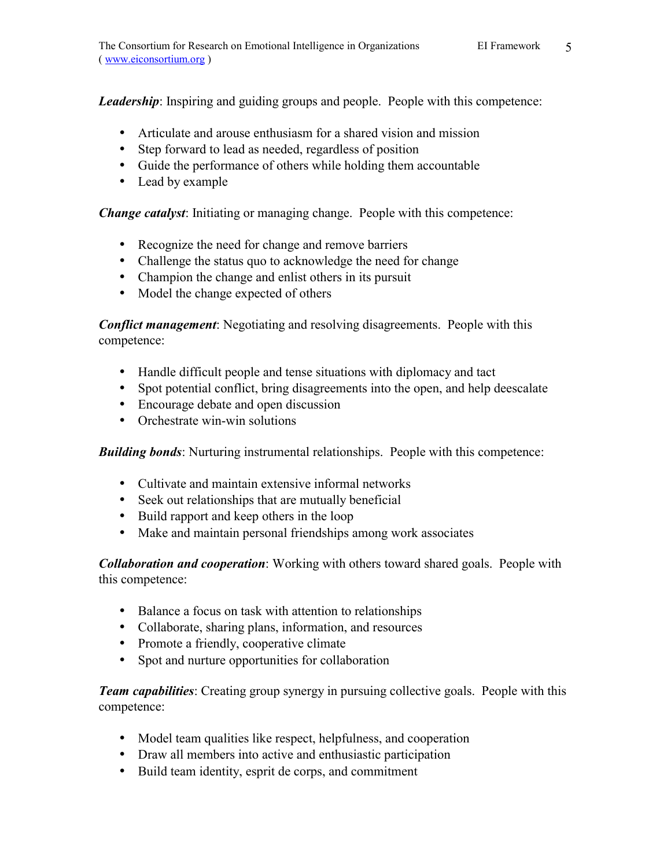*Leadership*: Inspiring and guiding groups and people. People with this competence:

- Articulate and arouse enthusiasm for a shared vision and mission
- Step forward to lead as needed, regardless of position
- Guide the performance of others while holding them accountable
- Lead by example

*Change catalyst*: Initiating or managing change. People with this competence:

- Recognize the need for change and remove barriers
- Challenge the status quo to acknowledge the need for change
- Champion the change and enlist others in its pursuit
- Model the change expected of others

*Conflict management*: Negotiating and resolving disagreements. People with this competence:

- Handle difficult people and tense situations with diplomacy and tact
- Spot potential conflict, bring disagreements into the open, and help deescalate
- Encourage debate and open discussion
- Orchestrate win-win solutions

*Building bonds*: Nurturing instrumental relationships. People with this competence:

- Cultivate and maintain extensive informal networks
- Seek out relationships that are mutually beneficial
- Build rapport and keep others in the loop
- Make and maintain personal friendships among work associates

*Collaboration and cooperation*: Working with others toward shared goals. People with this competence:

- Balance a focus on task with attention to relationships
- Collaborate, sharing plans, information, and resources
- Promote a friendly, cooperative climate
- Spot and nurture opportunities for collaboration

*Team capabilities*: Creating group synergy in pursuing collective goals. People with this competence:

- Model team qualities like respect, helpfulness, and cooperation
- Draw all members into active and enthusiastic participation
- Build team identity, esprit de corps, and commitment